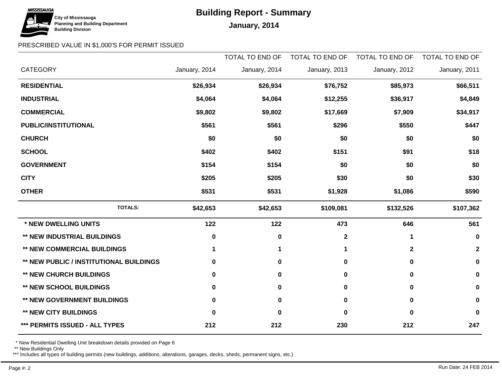

# **Building Report - Summary**

### PRESCRIBED VALUE IN \$1,000'S FOR PERMIT ISSUED

|                                         |               | TOTAL TO END OF | TOTAL TO END OF | TOTAL TO END OF | <b>TOTAL TO END OF</b> |
|-----------------------------------------|---------------|-----------------|-----------------|-----------------|------------------------|
| <b>CATEGORY</b>                         | January, 2014 | January, 2014   | January, 2013   | January, 2012   | January, 2011          |
| <b>RESIDENTIAL</b>                      | \$26,934      | \$26,934        | \$76,752        | \$85,973        | \$66,511               |
| <b>INDUSTRIAL</b>                       | \$4,064       | \$4,064         | \$12,255        | \$36,917        | \$4,849                |
| <b>COMMERCIAL</b>                       | \$9,802       | \$9,802         | \$17,669        | \$7,909         | \$34,917               |
| <b>PUBLIC/INSTITUTIONAL</b>             | \$561         | \$561           | \$296           | \$550           | \$447                  |
| <b>CHURCH</b>                           | \$0           | \$0             | \$0             | \$0             | \$0                    |
| <b>SCHOOL</b>                           | \$402         | \$402           | \$151           | \$91            | \$18                   |
| <b>GOVERNMENT</b>                       | \$154         | \$154           | \$0             | \$0             | \$0                    |
| <b>CITY</b>                             | \$205         | \$205           | \$30            | \$0             | \$30                   |
| <b>OTHER</b>                            | \$531         | \$531           | \$1,928         | \$1,086         | \$590                  |
| <b>TOTALS:</b>                          | \$42,653      | \$42,653        | \$109,081       | \$132,526       | \$107,362              |
| * NEW DWELLING UNITS                    | 122           | 122             | 473             | 646             | 561                    |
| ** NEW INDUSTRIAL BUILDINGS             | $\bf{0}$      | $\pmb{0}$       | $\mathbf 2$     | 1               | 0                      |
| <b>** NEW COMMERCIAL BUILDINGS</b>      | 1             | 1               | 1.              | $\mathbf{2}$    | $\mathbf{2}$           |
| ** NEW PUBLIC / INSTITUTIONAL BUILDINGS | 0             | $\pmb{0}$       | 0               | 0               | $\mathbf 0$            |
| <b>** NEW CHURCH BUILDINGS</b>          | 0             | $\pmb{0}$       | 0               | 0               | $\mathbf 0$            |
| <b>** NEW SCHOOL BUILDINGS</b>          | 0             | $\mathbf 0$     | 0               | $\bf{0}$        | $\mathbf 0$            |
| <b>** NEW GOVERNMENT BUILDINGS</b>      | $\bf{0}$      | $\bf{0}$        | 0               | $\bf{0}$        | $\mathbf 0$            |
| <b>** NEW CITY BUILDINGS</b>            | $\Omega$      | $\bf{0}$        | 0               | $\bf{0}$        | 0                      |
| *** PERMITS ISSUED - ALL TYPES          | 212           | 212             | 230             | 212             | 247                    |

\* New Residential Dwelling Unit breakdown details provided on Page 6

\*\* New Buildings Only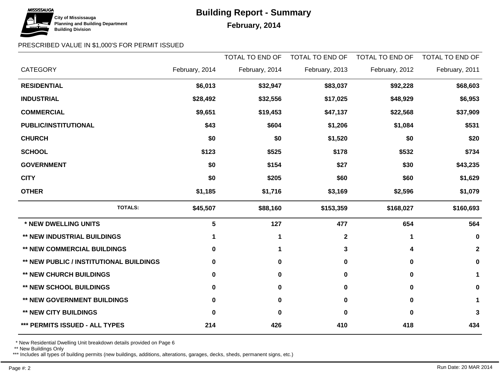

# **Building Report - Summary**

## **February, 2014**

### PRESCRIBED VALUE IN \$1,000'S FOR PERMIT ISSUED

|                                         |                | TOTAL TO END OF | TOTAL TO END OF | TOTAL TO END OF | TOTAL TO END OF |
|-----------------------------------------|----------------|-----------------|-----------------|-----------------|-----------------|
| <b>CATEGORY</b>                         | February, 2014 | February, 2014  | February, 2013  | February, 2012  | February, 2011  |
| <b>RESIDENTIAL</b>                      | \$6,013        | \$32,947        | \$83,037        | \$92,228        | \$68,603        |
| <b>INDUSTRIAL</b>                       | \$28,492       | \$32,556        | \$17,025        | \$48,929        | \$6,953         |
| <b>COMMERCIAL</b>                       | \$9,651        | \$19,453        | \$47,137        | \$22,568        | \$37,909        |
| <b>PUBLIC/INSTITUTIONAL</b>             | \$43           | \$604           | \$1,206         | \$1,084         | \$531           |
| <b>CHURCH</b>                           | \$0            | \$0             | \$1,520         | \$0             | \$20            |
| <b>SCHOOL</b>                           | \$123          | \$525           | \$178           | \$532           | \$734           |
| <b>GOVERNMENT</b>                       | \$0            | \$154           | \$27            | \$30            | \$43,235        |
| <b>CITY</b>                             | \$0            | \$205           | \$60            | \$60            | \$1,629         |
| <b>OTHER</b>                            | \$1,185        | \$1,716         | \$3,169         | \$2,596         | \$1,079         |
| <b>TOTALS:</b>                          | \$45,507       | \$88,160        | \$153,359       | \$168,027       | \$160,693       |
| * NEW DWELLING UNITS                    | 5              | 127             | 477             | 654             | 564             |
| <b>** NEW INDUSTRIAL BUILDINGS</b>      | 1              | 1               | $\mathbf 2$     | 1               | 0               |
| <b>** NEW COMMERCIAL BUILDINGS</b>      | 0              | 1               | 3               | 4               | $\mathbf{2}$    |
| ** NEW PUBLIC / INSTITUTIONAL BUILDINGS | 0              | 0               | 0               | 0               | 0               |
| <b>** NEW CHURCH BUILDINGS</b>          | 0              | $\mathbf 0$     | 0               | $\bf{0}$        | 1               |
| <b>** NEW SCHOOL BUILDINGS</b>          | 0              | 0               | 0               | 0               | 0               |
| ** NEW GOVERNMENT BUILDINGS             | 0              | $\mathbf 0$     | 0               | $\bf{0}$        | 1               |
| <b>** NEW CITY BUILDINGS</b>            | 0              | $\bf{0}$        | U               | 0               | 3               |
| *** PERMITS ISSUED - ALL TYPES          | 214            | 426             | 410             | 418             | 434             |

\* New Residential Dwelling Unit breakdown details provided on Page 6

\*\* New Buildings Only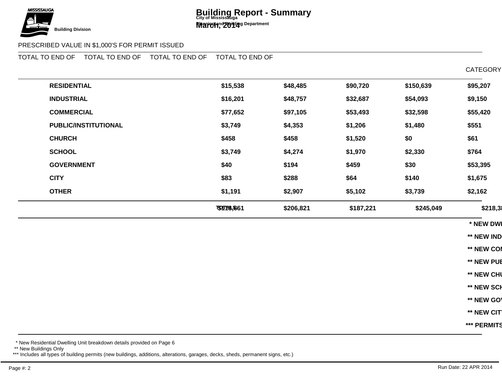

### PRESCRIBED VALUE IN \$1,000'S FOR PERMIT ISSUED

|                                                |             | TOTAL TO END OF | TOTAL TO END OF | <b>TOTAL TO END OF</b> | TOTAL TO END OF |
|------------------------------------------------|-------------|-----------------|-----------------|------------------------|-----------------|
| <b>CATEGORY</b>                                | March, 2014 | March, 2014     | March, 2013     | March, 2012            | March, 2011     |
| <b>RESIDENTIAL</b>                             | \$15,538    | \$48,485        | \$90,720        | \$150,639              | \$95,207        |
| <b>INDUSTRIAL</b>                              | \$16,201    | \$48,757        | \$32,687        | \$54,093               | \$9,150         |
| <b>COMMERCIAL</b>                              | \$77,652    | \$97,105        | \$53,493        | \$32,598               | \$55,420        |
| PUBLIC/INSTITUTIONAL                           | \$3,749     | \$4,353         | \$1,206         | \$1,480                | \$551           |
| <b>CHURCH</b>                                  | \$458       | \$458           | \$1,520         | \$0                    | \$61            |
| <b>SCHOOL</b>                                  | \$3,749     | \$4,274         | \$1,970         | \$2,330                | \$764           |
| <b>GOVERNMENT</b>                              | \$40        | \$194           | \$459           | \$30                   | \$53,395        |
| <b>CITY</b>                                    | \$83        | \$288           | \$64            | \$140                  | \$1,675         |
| <b>OTHER</b>                                   | \$1,191     | \$2,907         | \$5,102         | \$3,739                | \$2,162         |
| <b>TOTALS:</b>                                 | \$118,661   | \$206,821       | \$187,221       | \$245,049              | \$218,385       |
| * NEW DWELLING UNITS                           | 29          | 156             | 482             | 1,048                  | 764             |
| ** NEW INDUSTRIAL BUILDINGS                    | 1           | $\mathbf 2$     | 4               | $\mathbf{2}$           | $\mathbf{2}$    |
| <b>** NEW COMMERCIAL BUILDINGS</b>             | 3           | 4               | 4               | $\overline{7}$         | 6               |
| <b>** NEW PUBLIC / INSTITUTIONAL BUILDINGS</b> | 0           | $\mathbf 0$     | 0               | 0                      | 0               |
| <b>** NEW CHURCH BUILDINGS</b>                 | $\bf{0}$    | $\mathbf 0$     | 0               | 0                      | 1               |
| <b>** NEW SCHOOL BUILDINGS</b>                 | $\bf{0}$    | $\mathbf 0$     | 1               | 0                      | 0               |
| ** NEW GOVERNMENT BUILDINGS                    | 0           | $\pmb{0}$       | 0               | $\bf{0}$               | $\mathbf 1$     |
| <b>** NEW CITY BUILDINGS</b>                   | 0           | $\mathbf 0$     | 0               | 0                      | 3               |
| *** PERMITS ISSUED - ALL TYPES                 | 280         | 706             | 597             | 673                    | 702             |

\* New Residential Dwelling Unit breakdown details provided on Page 6

\*\* New Buildings Only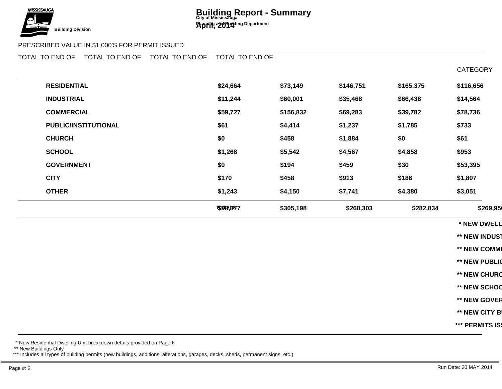

## **Building Report - Summary**

### PRESCRIBED VALUE IN \$1,000'S FOR PERMIT ISSUED

|                                                |             | TOTAL TO END OF | TOTAL TO END OF | TOTAL TO END OF | <b>TOTAL TO END OF</b> |
|------------------------------------------------|-------------|-----------------|-----------------|-----------------|------------------------|
| <b>CATEGORY</b>                                | April, 2014 | April, 2014     | April, 2013     | April, 2012     | April, 2011            |
| <b>RESIDENTIAL</b>                             | \$24,664    | \$73,149        | \$146,751       | \$165,375       | \$116,656              |
| <b>INDUSTRIAL</b>                              | \$11,244    | \$60,001        | \$35,468        | \$66,438        | \$14,564               |
| <b>COMMERCIAL</b>                              | \$59,727    | \$156,832       | \$69,283        | \$39,782        | \$78,736               |
| <b>PUBLIC/INSTITUTIONAL</b>                    | \$61        | \$4,414         | \$1,237         | \$1,785         | \$733                  |
| <b>CHURCH</b>                                  | \$0         | \$458           | \$1,884         | \$0             | \$61                   |
| <b>SCHOOL</b>                                  | \$1,268     | \$5,542         | \$4,567         | \$4,858         | \$953                  |
| <b>GOVERNMENT</b>                              | \$0         | \$194           | \$459           | \$30            | \$53,395               |
| <b>CITY</b>                                    | \$170       | \$458           | \$913           | \$186           | \$1,807                |
| <b>OTHER</b>                                   | \$1,243     | \$4,150         | \$7,741         | \$4,380         | \$3,051                |
| <b>TOTALS:</b>                                 | \$98,377    | \$305,198       | \$268,303       | \$282,834       | \$269,956              |
| * NEW DWELLING UNITS                           | 41          | 197             | 849             | 1,072           | 868                    |
| <b>** NEW INDUSTRIAL BUILDINGS</b>             | $\bf{0}$    | $\mathbf 2$     | 4               | 3               | $\mathbf{2}$           |
| <b>** NEW COMMERCIAL BUILDINGS</b>             | 1           | 5               | 5               | 8               | 10                     |
| <b>** NEW PUBLIC / INSTITUTIONAL BUILDINGS</b> | 0           | $\mathbf 0$     | 0               | 0               | 0                      |
| <b>** NEW CHURCH BUILDINGS</b>                 | 0           | $\mathbf 0$     | 0               | 0               | 1                      |
| <b>** NEW SCHOOL BUILDINGS</b>                 | 0           | $\bf{0}$        | 1               | 1               | 0                      |
| <b>** NEW GOVERNMENT BUILDINGS</b>             | 0           | 0               | 0               | 0               | $\mathbf 1$            |
| <b>** NEW CITY BUILDINGS</b>                   | 0           | 0               | 0               | 0               | 3                      |
| *** PERMITS ISSUED - ALL TYPES                 | 310         | 1,016           | 837             | 880             | 959                    |

\* New Residential Dwelling Unit breakdown details provided on Page 6

\*\* New Buildings Only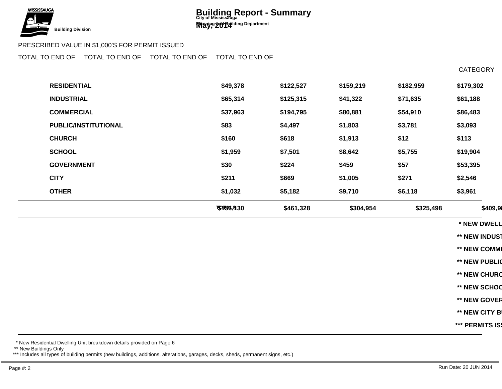

### PRESCRIBED VALUE IN \$1,000'S FOR PERMIT ISSUED

|                                                |             | <b>TOTAL TO END OF</b> | TOTAL TO END OF | <b>TOTAL TO END OF</b> | <b>TOTAL TO END OF</b>  |
|------------------------------------------------|-------------|------------------------|-----------------|------------------------|-------------------------|
| <b>CATEGORY</b>                                | May, 2014   | May, 2014              | May, 2013       | May, 2012              | May, 2011               |
| <b>RESIDENTIAL</b>                             | \$49,378    | \$122,527              | \$159,219       | \$182,959              | \$179,302               |
| <b>INDUSTRIAL</b>                              | \$65,314    | \$125,315              | \$41,322        | \$71,635               | \$61,188                |
| <b>COMMERCIAL</b>                              | \$37,963    | \$194,795              | \$80,881        | \$54,910               | \$86,483                |
| PUBLIC/INSTITUTIONAL                           | \$83        | \$4,497                | \$1,803         | \$3,781                | \$3,093                 |
| <b>CHURCH</b>                                  | \$160       | \$618                  | \$1,913         | \$12                   | \$113                   |
| <b>SCHOOL</b>                                  | \$1,959     | \$7,501                | \$8,642         | \$5,755                | \$19,904                |
| <b>GOVERNMENT</b>                              | \$30        | \$224                  | \$459           | \$57                   | \$53,395                |
| <b>CITY</b>                                    | \$211       | \$669                  | \$1,005         | \$271                  | \$2,546                 |
| <b>OTHER</b>                                   | \$1,032     | \$5,182                | \$9,710         | \$6,118                | \$3,961                 |
| <b>TOTALS:</b>                                 | \$156,130   | \$461,328              | \$304,954       | \$325,498              | \$409,985               |
| * NEW DWELLING UNITS                           | 134         | 331                    | 867             | 1,093                  | 1,194                   |
| <b>** NEW INDUSTRIAL BUILDINGS</b>             | $\mathbf 2$ | 4                      | 4               | 3                      | $\overline{\mathbf{7}}$ |
| <b>** NEW COMMERCIAL BUILDINGS</b>             | 3           | 8                      | $\overline{7}$  | 12                     | 13                      |
| <b>** NEW PUBLIC / INSTITUTIONAL BUILDINGS</b> | 0           | $\pmb{0}$              | 0               | $\bf{0}$               | 1                       |
| <b>** NEW CHURCH BUILDINGS</b>                 | 0           | $\mathbf 0$            | 0               | 0                      | 1                       |
| <b>** NEW SCHOOL BUILDINGS</b>                 | 0           | $\mathbf 0$            | 1               | 1                      | 1                       |
| ** NEW GOVERNMENT BUILDINGS                    | 0           | $\pmb{0}$              | 0               | $\bf{0}$               | 1                       |
| <b>** NEW CITY BUILDINGS</b>                   | 0           | 0                      | 0               | $\bf{0}$               | 3                       |
| *** PERMITS ISSUED - ALL TYPES                 | 325         | 1,341                  | 1,107           | 1,180                  | 1,260                   |

\* New Residential Dwelling Unit breakdown details provided on Page 6

\*\* New Buildings Only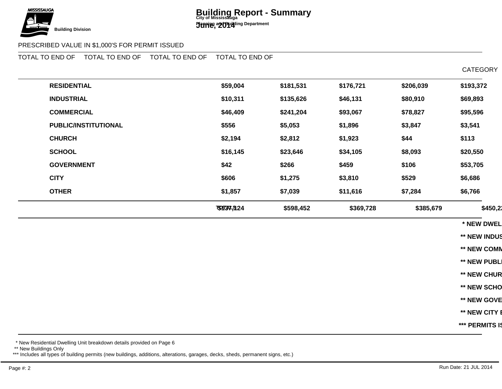

## PRESCRIBED VALUE IN \$1,000'S FOR PERMIT ISSUED

|                                                |              | <b>TOTAL TO END OF</b> | TOTAL TO END OF | <b>TOTAL TO END OF</b> | <b>TOTAL TO END OF</b> |
|------------------------------------------------|--------------|------------------------|-----------------|------------------------|------------------------|
| <b>CATEGORY</b>                                | June, 2014   | June, 2014             | June, 2013      | June, 2012             | June, 2011             |
| <b>RESIDENTIAL</b>                             | \$59,004     | \$181,531              | \$176,721       | \$206,039              | \$193,372              |
| <b>INDUSTRIAL</b>                              | \$10,311     | \$135,626              | \$46,131        | \$80,910               | \$69,893               |
| <b>COMMERCIAL</b>                              | \$46,409     | \$241,204              | \$93,067        | \$78,827               | \$95,596               |
| <b>PUBLIC/INSTITUTIONAL</b>                    | \$556        | \$5,053                | \$1,896         | \$3,847                | \$3,541                |
| <b>CHURCH</b>                                  | \$2,194      | \$2,812                | \$1,923         | \$44                   | \$113                  |
| <b>SCHOOL</b>                                  | \$16,145     | \$23,646               | \$34,105        | \$8,093                | \$20,550               |
| <b>GOVERNMENT</b>                              | \$42         | \$266                  | \$459           | \$106                  | \$53,705               |
| <b>CITY</b>                                    | \$606        | \$1,275                | \$3,810         | \$529                  | \$6,686                |
| <b>OTHER</b>                                   | \$1,857      | \$7,039                | \$11,616        | \$7,284                | \$6,766                |
| <b>TOTALS:</b>                                 | \$137,124    | \$598,452              | \$369,728       | \$385,679              | \$450,222              |
| * NEW DWELLING UNITS                           | 148          | 479                    | 885             | 1,133                  | 1,224                  |
| <b>** NEW INDUSTRIAL BUILDINGS</b>             | 0            | 4                      | 4               | $\overline{7}$         | 8                      |
| <b>** NEW COMMERCIAL BUILDINGS</b>             | $\mathbf{2}$ | 10                     | 8               | 16                     | 17                     |
| <b>** NEW PUBLIC / INSTITUTIONAL BUILDINGS</b> | 1            | $\mathbf 1$            | 0               | $\bf{0}$               | $\mathbf{2}$           |
| <b>** NEW CHURCH BUILDINGS</b>                 | 0            | $\mathbf 0$            | 0               | $\bf{0}$               | 1                      |
| <b>** NEW SCHOOL BUILDINGS</b>                 | 1            | 1                      | $\mathbf 2$     | 1                      | 1                      |
| ** NEW GOVERNMENT BUILDINGS                    | 0            | $\mathbf 0$            | 0               | 0                      | 1                      |
| <b>** NEW CITY BUILDINGS</b>                   | 0            | $\mathbf 0$            |                 | 0                      | 10                     |
| *** PERMITS ISSUED - ALL TYPES                 | 376          | 1,717                  | 1,472           | 1,491                  | 1,629                  |

\* New Residential Dwelling Unit breakdown details provided on Page 6

\*\* New Buildings Only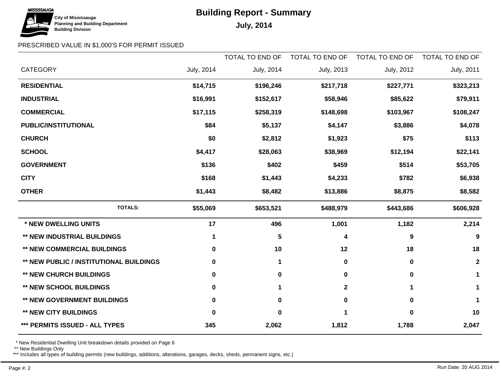

## PRESCRIBED VALUE IN \$1,000'S FOR PERMIT ISSUED

|                                                |            | <b>TOTAL TO END OF</b> | TOTAL TO END OF | TOTAL TO END OF  | TOTAL TO END OF |
|------------------------------------------------|------------|------------------------|-----------------|------------------|-----------------|
| <b>CATEGORY</b>                                | July, 2014 | July, 2014             | July, 2013      | July, 2012       | July, 2011      |
| <b>RESIDENTIAL</b>                             | \$14,715   | \$196,246              | \$217,718       | \$227,771        | \$323,213       |
| <b>INDUSTRIAL</b>                              | \$16,991   | \$152,617              | \$58,946        | \$85,622         | \$79,911        |
| <b>COMMERCIAL</b>                              | \$17,115   | \$258,319              | \$148,698       | \$103,967        | \$108,247       |
| PUBLIC/INSTITUTIONAL                           | \$84       | \$5,137                | \$4,147         | \$3,886          | \$4,078         |
| <b>CHURCH</b>                                  | \$0        | \$2,812                | \$1,923         | \$75             | \$113           |
| <b>SCHOOL</b>                                  | \$4,417    | \$28,063               | \$38,969        | \$12,194         | \$22,141        |
| <b>GOVERNMENT</b>                              | \$136      | \$402                  | \$459           | \$514            | \$53,705        |
| <b>CITY</b>                                    | \$168      | \$1,443                | \$4,233         | \$782            | \$6,938         |
| <b>OTHER</b>                                   | \$1,443    | \$8,482                | \$13,886        | \$8,875          | \$8,582         |
| <b>TOTALS:</b>                                 | \$55,069   | \$653,521              | \$488,979       | \$443,686        | \$606,928       |
| * NEW DWELLING UNITS                           | 17         | 496                    | 1,001           | 1,182            | 2,214           |
| <b>** NEW INDUSTRIAL BUILDINGS</b>             | 1          | 5                      | 4               | $\boldsymbol{9}$ | 9               |
| <b>** NEW COMMERCIAL BUILDINGS</b>             | $\bf{0}$   | 10                     | 12              | 18               | 18              |
| <b>** NEW PUBLIC / INSTITUTIONAL BUILDINGS</b> | 0          | $\mathbf 1$            | 0               | 0                | $\mathbf{2}$    |
| <b>** NEW CHURCH BUILDINGS</b>                 | 0          | $\mathbf 0$            | 0               | 0                | 1               |
| <b>** NEW SCHOOL BUILDINGS</b>                 | 0          | $\blacktriangleleft$   | $\mathbf 2$     | 1                | 1               |
| ** NEW GOVERNMENT BUILDINGS                    | 0          | $\mathbf 0$            | 0               | 0                | 1               |
| <b>** NEW CITY BUILDINGS</b>                   | 0          | $\bf{0}$               |                 | 0                | 10              |
| *** PERMITS ISSUED - ALL TYPES                 | 345        | 2,062                  | 1,812           | 1,788            | 2,047           |

\* New Residential Dwelling Unit breakdown details provided on Page 6

\*\* New Buildings Only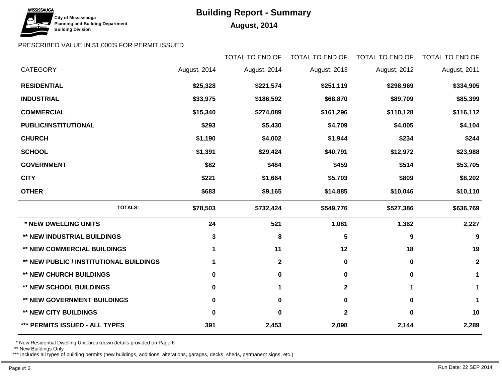

# **Building Report - Summary**

### PRESCRIBED VALUE IN \$1,000'S FOR PERMIT ISSUED

|                                         |              | <b>TOTAL TO END OF</b> | TOTAL TO END OF | TOTAL TO END OF | <b>TOTAL TO END OF</b> |
|-----------------------------------------|--------------|------------------------|-----------------|-----------------|------------------------|
| <b>CATEGORY</b>                         | August, 2014 | August, 2014           | August, 2013    | August, 2012    | August, 2011           |
| <b>RESIDENTIAL</b>                      | \$25,328     | \$221,574              | \$251,119       | \$298,969       | \$334,905              |
| <b>INDUSTRIAL</b>                       | \$33,975     | \$186,592              | \$68,870        | \$89,709        | \$85,399               |
| <b>COMMERCIAL</b>                       | \$15,340     | \$274,089              | \$161,296       | \$110,128       | \$116,112              |
| PUBLIC/INSTITUTIONAL                    | \$293        | \$5,430                | \$4,709         | \$4,005         | \$4,104                |
| <b>CHURCH</b>                           | \$1,190      | \$4,002                | \$1,944         | \$234           | \$244                  |
| <b>SCHOOL</b>                           | \$1,391      | \$29,424               | \$40,791        | \$12,972        | \$23,988               |
| <b>GOVERNMENT</b>                       | \$82         | \$484                  | \$459           | \$514           | \$53,705               |
| <b>CITY</b>                             | \$221        | \$1,664                | \$5,703         | \$809           | \$8,202                |
| <b>OTHER</b>                            | \$683        | \$9,165                | \$14,885        | \$10,046        | \$10,110               |
| <b>TOTALS:</b>                          | \$78,503     | \$732,424              | \$549,776       | \$527,386       | \$636,769              |
| * NEW DWELLING UNITS                    | 24           | 521                    | 1,081           | 1,362           | 2,227                  |
| ** NEW INDUSTRIAL BUILDINGS             | 3            | 8                      | 5               | 9               | 9                      |
| <b>** NEW COMMERCIAL BUILDINGS</b>      | 1            | 11                     | 12              | 18              | 19                     |
| ** NEW PUBLIC / INSTITUTIONAL BUILDINGS | 1            | $\mathbf 2$            | 0               | $\bf{0}$        | $\mathbf{2}$           |
| <b>** NEW CHURCH BUILDINGS</b>          | 0            | $\mathbf 0$            | 0               | 0               | 1                      |
| <b>** NEW SCHOOL BUILDINGS</b>          | 0            | 1                      | $\mathbf{2}$    | 1               | 1                      |
| <b>** NEW GOVERNMENT BUILDINGS</b>      | 0            | 0                      | 0               | 0               | 1                      |
| <b>** NEW CITY BUILDINGS</b>            | 0            | $\mathbf 0$            | $\mathbf{2}$    | $\bf{0}$        | 10                     |
| *** PERMITS ISSUED - ALL TYPES          | 391          | 2,453                  | 2,098           | 2,144           | 2,289                  |

\* New Residential Dwelling Unit breakdown details provided on Page 6

\*\* New Buildings Only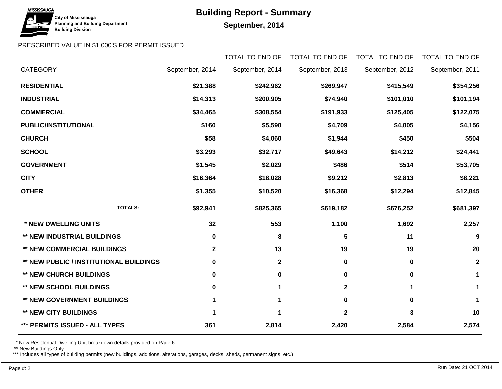## **MISSISSAUGA City of Mississauga Building Division**

# **Building Report - Summary**

## September, 2014

### PRESCRIBED VALUE IN \$1,000'S FOR PERMIT ISSUED

|                                                |                 | <b>TOTAL TO END OF</b> | TOTAL TO END OF | TOTAL TO END OF | <b>TOTAL TO END OF</b> |
|------------------------------------------------|-----------------|------------------------|-----------------|-----------------|------------------------|
| <b>CATEGORY</b>                                | September, 2014 | September, 2014        | September, 2013 | September, 2012 | September, 2011        |
| <b>RESIDENTIAL</b>                             | \$21,388        | \$242,962              | \$269,947       | \$415,549       | \$354,256              |
| <b>INDUSTRIAL</b>                              | \$14,313        | \$200,905              | \$74,940        | \$101,010       | \$101,194              |
| <b>COMMERCIAL</b>                              | \$34,465        | \$308,554              | \$191,933       | \$125,405       | \$122,075              |
| <b>PUBLIC/INSTITUTIONAL</b>                    | \$160           | \$5,590                | \$4,709         | \$4,005         | \$4,156                |
| <b>CHURCH</b>                                  | \$58            | \$4,060                | \$1,944         | \$450           | \$504                  |
| <b>SCHOOL</b>                                  | \$3,293         | \$32,717               | \$49,643        | \$14,212        | \$24,441               |
| <b>GOVERNMENT</b>                              | \$1,545         | \$2,029                | \$486           | \$514           | \$53,705               |
| <b>CITY</b>                                    | \$16,364        | \$18,028               | \$9,212         | \$2,813         | \$8,221                |
| <b>OTHER</b>                                   | \$1,355         | \$10,520               | \$16,368        | \$12,294        | \$12,845               |
| <b>TOTALS:</b>                                 | \$92,941        | \$825,365              | \$619,182       | \$676,252       | \$681,397              |
| * NEW DWELLING UNITS                           | 32              | 553                    | 1,100           | 1,692           | 2,257                  |
| <b>** NEW INDUSTRIAL BUILDINGS</b>             | 0               | 8                      | 5               | 11              | 9                      |
| <b>** NEW COMMERCIAL BUILDINGS</b>             | $\mathbf{2}$    | 13                     | 19              | 19              | 20                     |
| <b>** NEW PUBLIC / INSTITUTIONAL BUILDINGS</b> | 0               | $\mathbf{2}$           | 0               | 0               | $\mathbf{2}$           |
| <b>** NEW CHURCH BUILDINGS</b>                 | 0               | 0                      | 0               | 0               | 1                      |
| <b>** NEW SCHOOL BUILDINGS</b>                 | 0               | 1                      | $\mathbf 2$     | 1               | 1                      |
| ** NEW GOVERNMENT BUILDINGS                    | 1               | 1                      | $\mathbf 0$     | 0               | 1                      |
| <b>** NEW CITY BUILDINGS</b>                   | 1               | 1                      | 2               | 3               | 10                     |
| *** PERMITS ISSUED - ALL TYPES                 | 361             | 2,814                  | 2,420           | 2,584           | 2,574                  |

\* New Residential Dwelling Unit breakdown details provided on Page 6

\*\* New Buildings Only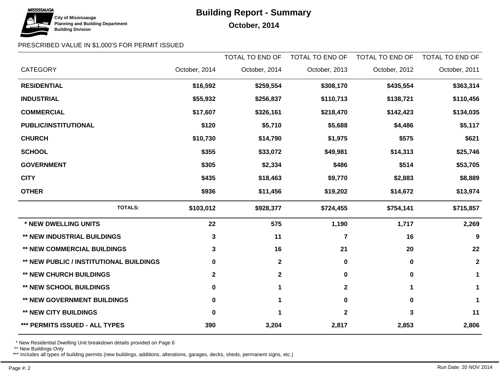

## **Building Report - Summary**

## PRESCRIBED VALUE IN \$1,000'S FOR PERMIT ISSUED

|                                         |               | TOTAL TO END OF | TOTAL TO END OF | TOTAL TO END OF | <b>TOTAL TO END OF</b> |
|-----------------------------------------|---------------|-----------------|-----------------|-----------------|------------------------|
| <b>CATEGORY</b>                         | October, 2014 | October, 2014   | October, 2013   | October, 2012   | October, 2011          |
| <b>RESIDENTIAL</b>                      | \$16,592      | \$259,554       | \$308,170       | \$435,554       | \$363,314              |
| <b>INDUSTRIAL</b>                       | \$55,932      | \$256,837       | \$110,713       | \$138,721       | \$110,456              |
| <b>COMMERCIAL</b>                       | \$17,607      | \$326,161       | \$218,470       | \$142,423       | \$134,035              |
| PUBLIC/INSTITUTIONAL                    | \$120         | \$5,710         | \$5,688         | \$4,486         | \$5,117                |
| <b>CHURCH</b>                           | \$10,730      | \$14,790        | \$1,975         | \$575           | \$621                  |
| <b>SCHOOL</b>                           | \$355         | \$33,072        | \$49,981        | \$14,313        | \$25,746               |
| <b>GOVERNMENT</b>                       | \$305         | \$2,334         | \$486           | \$514           | \$53,705               |
| <b>CITY</b>                             | \$435         | \$18,463        | \$9,770         | \$2,883         | \$8,889                |
| <b>OTHER</b>                            | \$936         | \$11,456        | \$19,202        | \$14,672        | \$13,974               |
| <b>TOTALS:</b>                          | \$103,012     | \$928,377       | \$724,455       | \$754,141       | \$715,857              |
| * NEW DWELLING UNITS                    | 22            | 575             | 1,190           | 1,717           | 2,269                  |
| ** NEW INDUSTRIAL BUILDINGS             | 3             | 11              | $\overline{7}$  | 16              | 9                      |
| <b>** NEW COMMERCIAL BUILDINGS</b>      | 3             | 16              | 21              | 20              | 22                     |
| ** NEW PUBLIC / INSTITUTIONAL BUILDINGS | 0             | $\mathbf 2$     | 0               | 0               | $\mathbf 2$            |
| <b>** NEW CHURCH BUILDINGS</b>          | $\mathbf{2}$  | $\mathbf 2$     | 0               | $\bf{0}$        | 1                      |
| <b>** NEW SCHOOL BUILDINGS</b>          | 0             | 1               | $\mathbf{2}$    | 1               | 1                      |
| ** NEW GOVERNMENT BUILDINGS             | 0             | 1               | 0               | 0               | 1                      |
| <b>** NEW CITY BUILDINGS</b>            | 0             |                 | 2               | 3               | 11                     |
| *** PERMITS ISSUED - ALL TYPES          | 390           | 3,204           | 2,817           | 2,853           | 2,806                  |

\* New Residential Dwelling Unit breakdown details provided on Page 6

\*\* New Buildings Only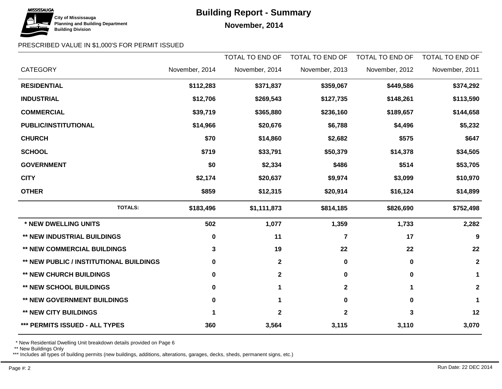## **MISSISSAUGA City of Mississauga Building Division**

# **Building Report - Summary**

**November, 2014** 

### PRESCRIBED VALUE IN \$1,000'S FOR PERMIT ISSUED

|                                         |                | <b>TOTAL TO END OF</b> | TOTAL TO END OF | <b>TOTAL TO END OF</b> | <b>TOTAL TO END OF</b> |
|-----------------------------------------|----------------|------------------------|-----------------|------------------------|------------------------|
| <b>CATEGORY</b>                         | November, 2014 | November, 2014         | November, 2013  | November, 2012         | November, 2011         |
| <b>RESIDENTIAL</b>                      | \$112,283      | \$371,837              | \$359,067       | \$449,586              | \$374,292              |
| <b>INDUSTRIAL</b>                       | \$12,706       | \$269,543              | \$127,735       | \$148,261              | \$113,590              |
| <b>COMMERCIAL</b>                       | \$39,719       | \$365,880              | \$236,160       | \$189,657              | \$144,658              |
| <b>PUBLIC/INSTITUTIONAL</b>             | \$14,966       | \$20,676               | \$6,788         | \$4,496                | \$5,232                |
| <b>CHURCH</b>                           | \$70           | \$14,860               | \$2,682         | \$575                  | \$647                  |
| <b>SCHOOL</b>                           | \$719          | \$33,791               | \$50,379        | \$14,378               | \$34,505               |
| <b>GOVERNMENT</b>                       | \$0            | \$2,334                | \$486           | \$514                  | \$53,705               |
| <b>CITY</b>                             | \$2,174        | \$20,637               | \$9,974         | \$3,099                | \$10,970               |
| <b>OTHER</b>                            | \$859          | \$12,315               | \$20,914        | \$16,124               | \$14,899               |
| <b>TOTALS:</b>                          | \$183,496      | \$1,111,873            | \$814,185       | \$826,690              | \$752,498              |
| * NEW DWELLING UNITS                    | 502            | 1,077                  | 1,359           | 1,733                  | 2,282                  |
| ** NEW INDUSTRIAL BUILDINGS             | 0              | 11                     | 7               | 17                     | 9                      |
| <b>** NEW COMMERCIAL BUILDINGS</b>      | 3              | 19                     | 22              | 22                     | 22                     |
| ** NEW PUBLIC / INSTITUTIONAL BUILDINGS | 0              | $\mathbf{2}$           | 0               | $\mathbf 0$            | $\boldsymbol{2}$       |
| <b>** NEW CHURCH BUILDINGS</b>          | 0              | $\boldsymbol{2}$       | 0               | 0                      | 1                      |
| <b>** NEW SCHOOL BUILDINGS</b>          | $\bf{0}$       | 1                      | $\mathbf 2$     | 1                      | $\mathbf 2$            |
| ** NEW GOVERNMENT BUILDINGS             | 0              | 1                      | 0               | $\bf{0}$               | 1                      |
| <b>** NEW CITY BUILDINGS</b>            | 1              | $\mathbf 2$            | $\mathbf{2}$    | 3                      | 12                     |
| *** PERMITS ISSUED - ALL TYPES          | 360            | 3,564                  | 3,115           | 3,110                  | 3,070                  |

\* New Residential Dwelling Unit breakdown details provided on Page 6

\*\* New Buildings Only